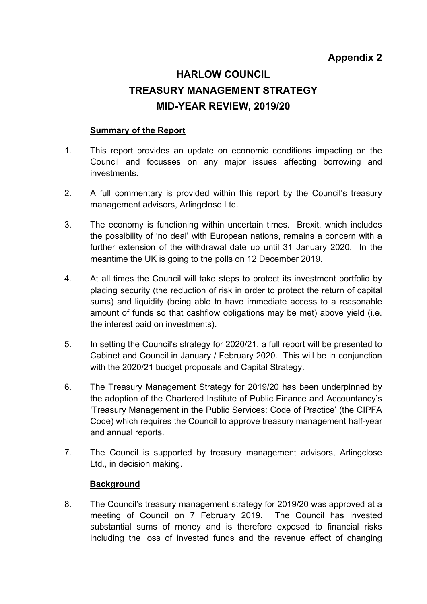# **HARLOW COUNCIL TREASURY MANAGEMENT STRATEGY MID-YEAR REVIEW, 2019/20**

# **Summary of the Report**

- 1. This report provides an update on economic conditions impacting on the Council and focusses on any major issues affecting borrowing and investments.
- 2. A full commentary is provided within this report by the Council's treasury management advisors, Arlingclose Ltd.
- 3. The economy is functioning within uncertain times. Brexit, which includes the possibility of 'no deal' with European nations, remains a concern with a further extension of the withdrawal date up until 31 January 2020. In the meantime the UK is going to the polls on 12 December 2019.
- 4. At all times the Council will take steps to protect its investment portfolio by placing security (the reduction of risk in order to protect the return of capital sums) and liquidity (being able to have immediate access to a reasonable amount of funds so that cashflow obligations may be met) above yield (i.e. the interest paid on investments).
- 5. In setting the Council's strategy for 2020/21, a full report will be presented to Cabinet and Council in January / February 2020. This will be in conjunction with the 2020/21 budget proposals and Capital Strategy.
- 6. The Treasury Management Strategy for 2019/20 has been underpinned by the adoption of the Chartered Institute of Public Finance and Accountancy's 'Treasury Management in the Public Services: Code of Practice' (the CIPFA Code) which requires the Council to approve treasury management half-year and annual reports.
- 7. The Council is supported by treasury management advisors, Arlingclose Ltd., in decision making.

## **Background**

8. The Council's treasury management strategy for 2019/20 was approved at a meeting of Council on 7 February 2019. The Council has invested substantial sums of money and is therefore exposed to financial risks including the loss of invested funds and the revenue effect of changing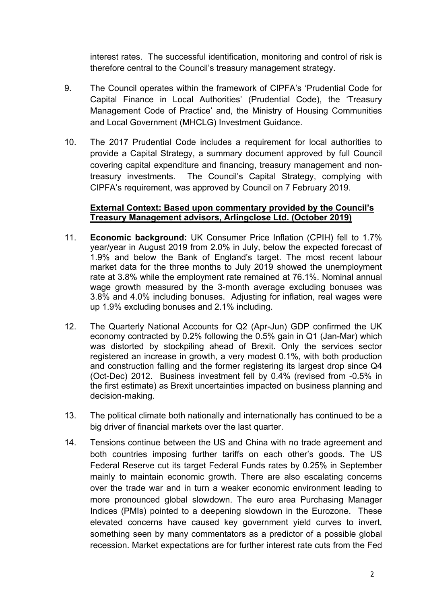interest rates. The successful identification, monitoring and control of risk is therefore central to the Council's treasury management strategy.

- 9. The Council operates within the framework of CIPFA's 'Prudential Code for Capital Finance in Local Authorities' (Prudential Code), the 'Treasury Management Code of Practice' and, the Ministry of Housing Communities and Local Government (MHCLG) Investment Guidance.
- 10. The 2017 Prudential Code includes a requirement for local authorities to provide a Capital Strategy, a summary document approved by full Council covering capital expenditure and financing, treasury management and nontreasury investments. The Council's Capital Strategy, complying with CIPFA's requirement, was approved by Council on 7 February 2019.

#### **External Context: Based upon commentary provided by the Council's Treasury Management advisors, Arlingclose Ltd. (October 2019)**

- 11. **Economic background:** UK Consumer Price Inflation (CPIH) fell to 1.7% year/year in August 2019 from 2.0% in July, below the expected forecast of 1.9% and below the Bank of England's target. The most recent labour market data for the three months to July 2019 showed the unemployment rate at 3.8% while the employment rate remained at 76.1%. Nominal annual wage growth measured by the 3-month average excluding bonuses was 3.8% and 4.0% including bonuses. Adjusting for inflation, real wages were up 1.9% excluding bonuses and 2.1% including.
- 12. The Quarterly National Accounts for Q2 (Apr-Jun) GDP confirmed the UK economy contracted by 0.2% following the 0.5% gain in Q1 (Jan-Mar) which was distorted by stockpiling ahead of Brexit. Only the services sector registered an increase in growth, a very modest 0.1%, with both production and construction falling and the former registering its largest drop since Q4 (Oct-Dec) 2012. Business investment fell by 0.4% (revised from -0.5% in the first estimate) as Brexit uncertainties impacted on business planning and decision-making.
- 13. The political climate both nationally and internationally has continued to be a big driver of financial markets over the last quarter.
- 14. Tensions continue between the US and China with no trade agreement and both countries imposing further tariffs on each other's goods. The US Federal Reserve cut its target Federal Funds rates by 0.25% in September mainly to maintain economic growth. There are also escalating concerns over the trade war and in turn a weaker economic environment leading to more pronounced global slowdown. The euro area Purchasing Manager Indices (PMIs) pointed to a deepening slowdown in the Eurozone. These elevated concerns have caused key government yield curves to invert, something seen by many commentators as a predictor of a possible global recession. Market expectations are for further interest rate cuts from the Fed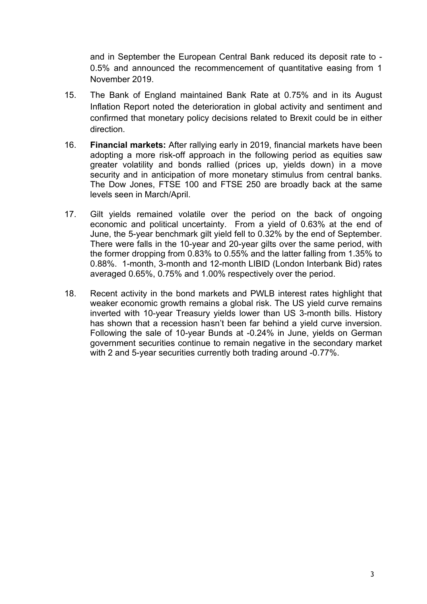and in September the European Central Bank reduced its deposit rate to - 0.5% and announced the recommencement of quantitative easing from 1 November 2019.

- 15. The Bank of England maintained Bank Rate at 0.75% and in its August Inflation Report noted the deterioration in global activity and sentiment and confirmed that monetary policy decisions related to Brexit could be in either direction.
- 16. **Financial markets:** After rallying early in 2019, financial markets have been adopting a more risk-off approach in the following period as equities saw greater volatility and bonds rallied (prices up, yields down) in a move security and in anticipation of more monetary stimulus from central banks. The Dow Jones, FTSE 100 and FTSE 250 are broadly back at the same levels seen in March/April.
- 17. Gilt yields remained volatile over the period on the back of ongoing economic and political uncertainty. From a yield of 0.63% at the end of June, the 5-year benchmark gilt yield fell to 0.32% by the end of September. There were falls in the 10-year and 20-year gilts over the same period, with the former dropping from 0.83% to 0.55% and the latter falling from 1.35% to 0.88%. 1-month, 3-month and 12-month LIBID (London Interbank Bid) rates averaged 0.65%, 0.75% and 1.00% respectively over the period.
- 18. Recent activity in the bond markets and PWLB interest rates highlight that weaker economic growth remains a global risk. The US yield curve remains inverted with 10-year Treasury yields lower than US 3-month bills. History has shown that a recession hasn't been far behind a yield curve inversion. Following the sale of 10-year Bunds at -0.24% in June, yields on German government securities continue to remain negative in the secondary market with 2 and 5-year securities currently both trading around -0.77%.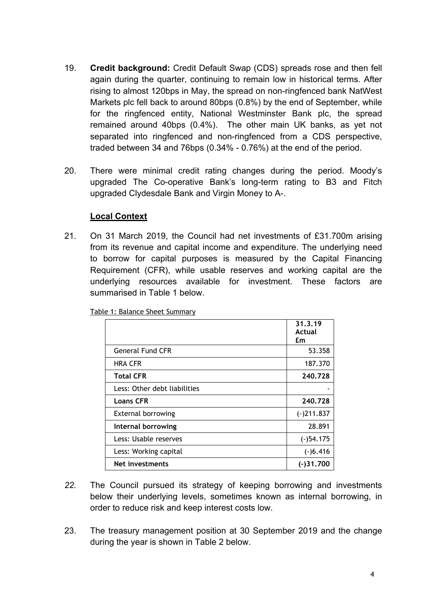- 19. **Credit background:** Credit Default Swap (CDS) spreads rose and then fell again during the quarter, continuing to remain low in historical terms. After rising to almost 120bps in May, the spread on non-ringfenced bank NatWest Markets plc fell back to around 80bps (0.8%) by the end of September, while for the ringfenced entity, National Westminster Bank plc, the spread remained around 40bps (0.4%). The other main UK banks, as yet not separated into ringfenced and non-ringfenced from a CDS perspective, traded between 34 and 76bps (0.34% - 0.76%) at the end of the period.
- 20. There were minimal credit rating changes during the period. Moody's upgraded The Co-operative Bank's long-term rating to B3 and Fitch upgraded Clydesdale Bank and Virgin Money to A-.

## **Local Context**

21. On 31 March 2019, the Council had net investments of £31.700m arising from its revenue and capital income and expenditure. The underlying need to borrow for capital purposes is measured by the Capital Financing Requirement (CFR), while usable reserves and working capital are the underlying resources available for investment. These factors are summarised in Table 1 below.

|                              | 31.3.19<br>Actual<br>£m |
|------------------------------|-------------------------|
| <b>General Fund CFR</b>      | 53.358                  |
| <b>HRA CFR</b>               | 187.370                 |
| <b>Total CFR</b>             | 240.728                 |
| Less: Other debt liabilities |                         |
| <b>Loans CFR</b>             | 240.728                 |
| <b>External borrowing</b>    | $(-)211.837$            |
| Internal borrowing           | 28.891                  |
| Less: Usable reserves        | $(-)54.175$             |
| Less: Working capital        | $(-)6.416$              |
| Net investments              | $(-)31.700$             |

Table 1: Balance Sheet Summary

- *22.* The Council pursued its strategy of keeping borrowing and investments below their underlying levels, sometimes known as internal borrowing, in order to reduce risk and keep interest costs low.
- 23. The treasury management position at 30 September 2019 and the change during the year is shown in Table 2 below.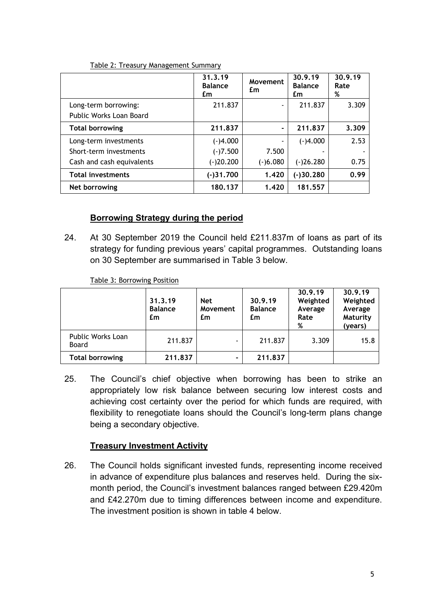|                           | 31.3.19<br><b>Balance</b><br>£m | Movement<br>£m | 30.9.19<br><b>Balance</b><br>£m | 30.9.19<br>Rate<br>% |
|---------------------------|---------------------------------|----------------|---------------------------------|----------------------|
| Long-term borrowing:      | 211.837                         |                | 211.837                         | 3.309                |
| Public Works Loan Board   |                                 |                |                                 |                      |
| <b>Total borrowing</b>    | 211.837                         |                | 211.837                         | 3.309                |
| Long-term investments     | $(-)4.000$                      |                | $(-)4.000$                      | 2.53                 |
| Short-term investments    | $(-)7.500$                      | 7.500          |                                 |                      |
| Cash and cash equivalents | $(-)20.200$                     | $(-)6.080$     | $(-)26.280$                     | 0.75                 |
| <b>Total investments</b>  | (-)31.700                       | 1.420          | (-)30.280                       | 0.99                 |
| Net borrowing             | 180.137                         | 1.420          | 181.557                         |                      |

#### Table 2: Treasury Management Summary

## **Borrowing Strategy during the period**

24. At 30 September 2019 the Council held £211.837m of loans as part of its strategy for funding previous years' capital programmes. Outstanding loans on 30 September are summarised in Table 3 below.

Table 3: Borrowing Position

|                                   | 31.3.19<br><b>Balance</b><br>£m | <b>Net</b><br>Movement<br>£m | 30.9.19<br><b>Balance</b><br>£m | 30.9.19<br>Weighted<br>Average<br>Rate<br>% | 30.9.19<br>Weighted<br>Average<br>Maturity<br>(years) |
|-----------------------------------|---------------------------------|------------------------------|---------------------------------|---------------------------------------------|-------------------------------------------------------|
| <b>Public Works Loan</b><br>Board | 211.837                         |                              | 211.837                         | 3.309                                       | 15.8                                                  |
| <b>Total borrowing</b>            | 211.837                         |                              | 211.837                         |                                             |                                                       |

25. The Council's chief objective when borrowing has been to strike an appropriately low risk balance between securing low interest costs and achieving cost certainty over the period for which funds are required, with flexibility to renegotiate loans should the Council's long-term plans change being a secondary objective.

## **Treasury Investment Activity**

26. The Council holds significant invested funds, representing income received in advance of expenditure plus balances and reserves held. During the sixmonth period, the Council's investment balances ranged between £29.420m and £42.270m due to timing differences between income and expenditure. The investment position is shown in table 4 below.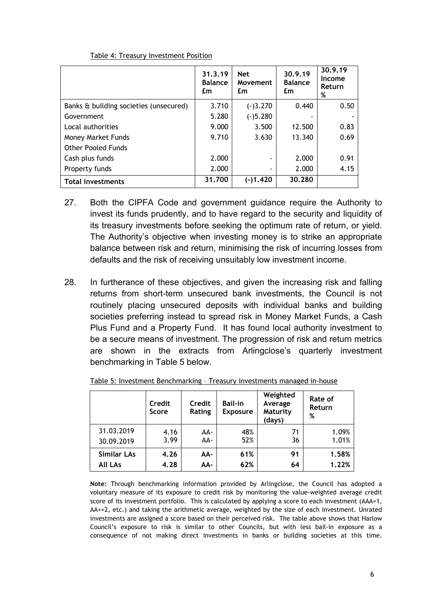|                                        | 31.3.19<br><b>Balance</b><br>£m | <b>Net</b><br>Movement<br>£m | 30.9.19<br><b>Balance</b><br>£m | 30.9.19<br>Income<br>Return<br>% |
|----------------------------------------|---------------------------------|------------------------------|---------------------------------|----------------------------------|
| Banks & building societies (unsecured) | 3.710                           | $(-)3.270$                   | 0.440                           | 0.50                             |
| Government                             | 5.280                           | $(-)5.280$                   |                                 |                                  |
| Local authorities                      | 9.000                           | 3.500                        | 12.500                          | 0.83                             |
| <b>Money Market Funds</b>              | 9.710                           | 3.630                        | 13.340                          | 0.69                             |
| <b>Other Pooled Funds</b>              |                                 |                              |                                 |                                  |
| Cash plus funds                        | 2.000                           |                              | 2.000                           | 0.91                             |
| Property funds                         | 2.000                           |                              | 2.000                           | 4.15                             |
| <b>Total investments</b>               | 31,700                          | (-)1.420                     | 30.280                          |                                  |

Table 4: Treasury Investment Position

- 27. Both the CIPFA Code and government guidance require the Authority to invest its funds prudently, and to have regard to the security and liquidity of its treasury investments before seeking the optimum rate of return, or yield. The Authority's objective when investing money is to strike an appropriate balance between risk and return, minimising the risk of incurring losses from defaults and the risk of receiving unsuitably low investment income.
- 28. In furtherance of these objectives, and given the increasing risk and falling returns from short-term unsecured bank investments, the Council is not routinely placing unsecured deposits with individual banks and building societies preferring instead to spread risk in Money Market Funds, a Cash Plus Fund and a Property Fund. It has found local authority investment to be a secure means of investment. The progression of risk and return metrics are shown in the extracts from Arlingclose's quarterly investment benchmarking in Table 5 below.

|                | Credit<br>Score | Credit<br>Rating | <b>Bail-in</b><br><b>Exposure</b> | Weighted<br>Average<br>Maturity<br>(days) | Rate of<br>Return<br>% |  |  |
|----------------|-----------------|------------------|-----------------------------------|-------------------------------------------|------------------------|--|--|
| 31.03.2019     | 4.16            | AA-              | 48%                               | 71                                        | 1.09%                  |  |  |
| 30.09.2019     | 3.99            | AA-              | 52%                               | 36                                        | 1.01%                  |  |  |
| Similar LAs    | 4.26            | AA-              | 61%                               | 91                                        | 1.58%                  |  |  |
| <b>All LAs</b> | 4.28            | AA-              | 62%                               | 64                                        | 1.22%                  |  |  |

Table 5: Investment Benchmarking – Treasury investments managed in-house

**Note:** Through benchmarking information provided by Arlingclose, the Council has adopted a voluntary measure of its exposure to credit risk by monitoring the value-weighted average credit score of its investment portfolio. This is calculated by applying a score to each investment (AAA=1, AA+=2, etc.) and taking the arithmetic average, weighted by the size of each investment. Unrated investments are assigned a score based on their perceived risk. The table above shows that Harlow Council's exposure to risk is similar to other Councils, but with less bail-in exposure as a consequence of not making direct investments in banks or building societies at this time.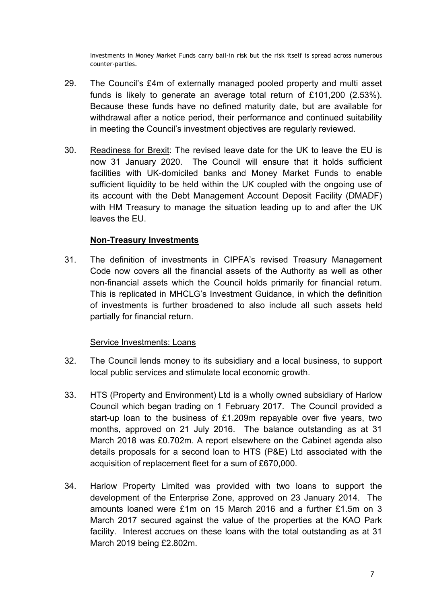Investments in Money Market Funds carry bail-in risk but the risk itself is spread across numerous counter-parties.

- 29. The Council's £4m of externally managed pooled property and multi asset funds is likely to generate an average total return of £101,200 (2.53%). Because these funds have no defined maturity date, but are available for withdrawal after a notice period, their performance and continued suitability in meeting the Council's investment objectives are regularly reviewed.
- 30. Readiness for Brexit: The revised leave date for the UK to leave the EU is now 31 January 2020. The Council will ensure that it holds sufficient facilities with UK-domiciled banks and Money Market Funds to enable sufficient liquidity to be held within the UK coupled with the ongoing use of its account with the Debt Management Account Deposit Facility (DMADF) with HM Treasury to manage the situation leading up to and after the UK leaves the EU.

#### **Non-Treasury Investments**

31. The definition of investments in CIPFA's revised Treasury Management Code now covers all the financial assets of the Authority as well as other non-financial assets which the Council holds primarily for financial return. This is replicated in MHCLG's Investment Guidance, in which the definition of investments is further broadened to also include all such assets held partially for financial return.

#### Service Investments: Loans

- 32. The Council lends money to its subsidiary and a local business, to support local public services and stimulate local economic growth.
- 33. HTS (Property and Environment) Ltd is a wholly owned subsidiary of Harlow Council which began trading on 1 February 2017. The Council provided a start-up loan to the business of £1.209m repayable over five years, two months, approved on 21 July 2016. The balance outstanding as at 31 March 2018 was £0.702m. A report elsewhere on the Cabinet agenda also details proposals for a second loan to HTS (P&E) Ltd associated with the acquisition of replacement fleet for a sum of £670,000.
- 34. Harlow Property Limited was provided with two loans to support the development of the Enterprise Zone, approved on 23 January 2014. The amounts loaned were £1m on 15 March 2016 and a further £1.5m on 3 March 2017 secured against the value of the properties at the KAO Park facility. Interest accrues on these loans with the total outstanding as at 31 March 2019 being £2.802m.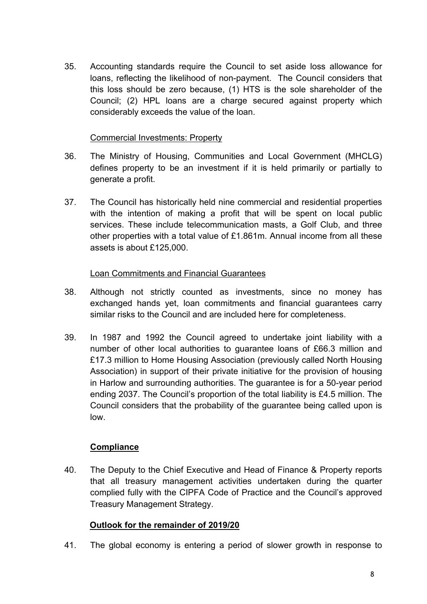35. Accounting standards require the Council to set aside loss allowance for loans, reflecting the likelihood of non-payment. The Council considers that this loss should be zero because, (1) HTS is the sole shareholder of the Council; (2) HPL loans are a charge secured against property which considerably exceeds the value of the loan.

#### Commercial Investments: Property

- 36. The Ministry of Housing, Communities and Local Government (MHCLG) defines property to be an investment if it is held primarily or partially to generate a profit.
- 37. The Council has historically held nine commercial and residential properties with the intention of making a profit that will be spent on local public services. These include telecommunication masts, a Golf Club, and three other properties with a total value of £1.861m. Annual income from all these assets is about £125,000.

## Loan Commitments and Financial Guarantees

- 38. Although not strictly counted as investments, since no money has exchanged hands yet, loan commitments and financial guarantees carry similar risks to the Council and are included here for completeness.
- 39. In 1987 and 1992 the Council agreed to undertake joint liability with a number of other local authorities to guarantee loans of £66.3 million and £17.3 million to Home Housing Association (previously called North Housing Association) in support of their private initiative for the provision of housing in Harlow and surrounding authorities. The guarantee is for a 50-year period ending 2037. The Council's proportion of the total liability is £4.5 million. The Council considers that the probability of the guarantee being called upon is low.

## **Compliance**

40. The Deputy to the Chief Executive and Head of Finance & Property reports that all treasury management activities undertaken during the quarter complied fully with the CIPFA Code of Practice and the Council's approved Treasury Management Strategy.

## **Outlook for the remainder of 2019/20**

41. The global economy is entering a period of slower growth in response to